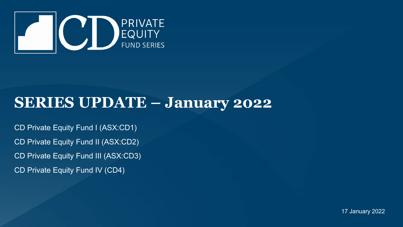

## **SERIES UPDATE – January 2022**

CD Private Equity Fund I (ASX:CD1) CD Private Equity Fund II (ASX:CD2) CD Private Equity Fund III (ASX:CD3) CD Private Equity Fund IV (CD4)

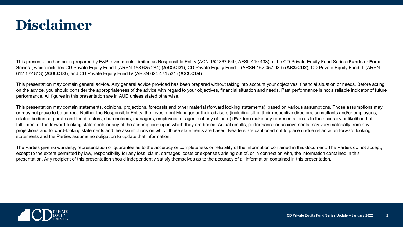

This presentation has been prepared by E&P Investments Limited as Responsible Entity (ACN 152 367 649, AFSL 410 433) of the CD Private Equity Fund Series (**Funds** or **Fund Series**), which includes CD Private Equity Fund I (ARSN 158 625 284) (**ASX:CD1**), CD Private Equity Fund II (ARSN 162 057 089) (**ASX:CD2**), CD Private Equity Fund III (ARSN 612 132 813) (**ASX:CD3**), and CD Private Equity Fund IV (ARSN 624 474 531) (**ASX:CD4**).

This presentation may contain general advice. Any general advice provided has been prepared without taking into account your objectives, financial situation or needs. Before acting on the advice, you should consider the appropriateness of the advice with regard to your objectives, financial situation and needs. Past performance is not a reliable indicator of future performance. All figures in this presentation are in AUD unless stated otherwise.

This presentation may contain statements, opinions, projections, forecasts and other material (forward looking statements), based on various assumptions. Those assumptions may or may not prove to be correct. Neither the Responsible Entity, the Investment Manager or their advisers (including all of their respective directors, consultants and/or employees, related bodies corporate and the directors, shareholders, managers, employees or agents of any of them) (**Parties**) make any representation as to the accuracy or likelihood of fulfillment of the forward-looking statements or any of the assumptions upon which they are based. Actual results, performance or achievements may vary materially from any projections and forward-looking statements and the assumptions on which those statements are based. Readers are cautioned not to place undue reliance on forward looking statements and the Parties assume no obligation to update that information.

The Parties give no warranty, representation or guarantee as to the accuracy or completeness or reliability of the information contained in this document. The Parties do not accept, except to the extent permitted by law, responsibility for any loss, claim, damages, costs or expenses arising out of, or in connection with, the information contained in this presentation. Any recipient of this presentation should independently satisfy themselves as to the accuracy of all information contained in this presentation.

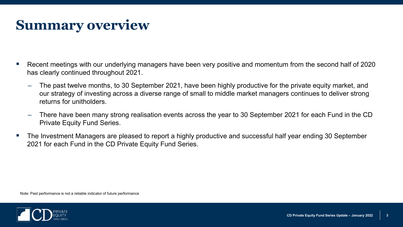## **Summary overview**

- Recent meetings with our underlying managers have been very positive and momentum from the second half of 2020 has clearly continued throughout 2021.
	- ‒ The past twelve months, to 30 September 2021, have been highly productive for the private equity market, and our strategy of investing across a diverse range of small to middle market managers continues to deliver strong returns for unitholders.
	- ‒ There have been many strong realisation events across the year to 30 September 2021 for each Fund in the CD Private Equity Fund Series.
- The Investment Managers are pleased to report a highly productive and successful half year ending 30 September 2021 for each Fund in the CD Private Equity Fund Series.

Note: Past performance is not a reliable indicator of future performance

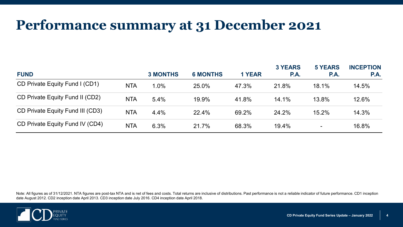### **Performance summary at 31 December 2021**

| <b>FUND</b>                      |            | <b>3 MONTHS</b> | <b>6 MONTHS</b> | <b>1 YEAR</b> | <b>3 YEARS</b><br>P.A. | <b>5 YEARS</b><br><b>P.A.</b> | <b>INCEPTION</b><br>P.A. |
|----------------------------------|------------|-----------------|-----------------|---------------|------------------------|-------------------------------|--------------------------|
| CD Private Equity Fund I (CD1)   | <b>NTA</b> | $1.0\%$         | 25.0%           | 47.3%         | 21.8%                  | 18.1%                         | 14.5%                    |
| CD Private Equity Fund II (CD2)  | <b>NTA</b> | 5.4%            | 19.9%           | 41.8%         | 14.1%                  | 13.8%                         | 12.6%                    |
| CD Private Equity Fund III (CD3) | <b>NTA</b> | 4.4%            | 22.4%           | 69.2%         | 24.2%                  | 15.2%                         | 14.3%                    |
| CD Private Equity Fund IV (CD4)  | <b>NTA</b> | 6.3%            | 21.7%           | 68.3%         | 19.4%                  | $\qquad \qquad$               | 16.8%                    |

Note: All figures as of 31/12/2021. NTA figures are post-tax NTA and is net of fees and costs. Total returns are inclusive of distributions. Past performance is not a reliable indicator of future performance. CD1 inception date August 2012. CD2 inception date April 2013. CD3 inception date July 2016. CD4 inception date April 2018.

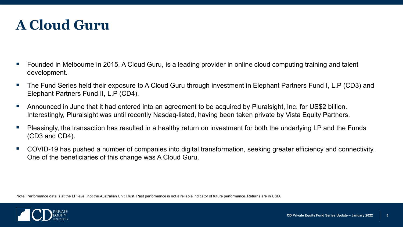## **A Cloud Guru**

- Founded in Melbourne in 2015, A Cloud Guru, is a leading provider in online cloud computing training and talent development.
- The Fund Series held their exposure to A Cloud Guru through investment in Elephant Partners Fund I, L.P (CD3) and Elephant Partners Fund II, L.P (CD4).
- Announced in June that it had entered into an agreement to be acquired by Pluralsight, Inc. for US\$2 billion. Interestingly, Pluralsight was until recently Nasdaq-listed, having been taken private by Vista Equity Partners.
- Pleasingly, the transaction has resulted in a healthy return on investment for both the underlying LP and the Funds (CD3 and CD4).
- COVID-19 has pushed a number of companies into digital transformation, seeking greater efficiency and connectivity. One of the beneficiaries of this change was A Cloud Guru.

Note: Performance data is at the LP level, not the Australian Unit Trust. Past performance is not a reliable indicator of future performance. Returns are in USD.

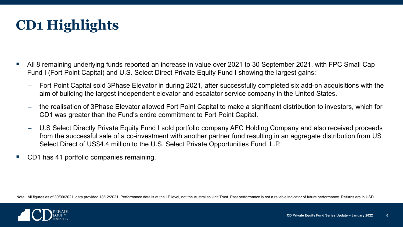

- All 8 remaining underlying funds reported an increase in value over 2021 to 30 September 2021, with FPC Small Cap Fund I (Fort Point Capital) and U.S. Select Direct Private Equity Fund I showing the largest gains:
	- ‒ Fort Point Capital sold 3Phase Elevator in during 2021, after successfully completed six add-on acquisitions with the aim of building the largest independent elevator and escalator service company in the United States.
	- ‒ the realisation of 3Phase Elevator allowed Fort Point Capital to make a significant distribution to investors, which for CD1 was greater than the Fund's entire commitment to Fort Point Capital.
	- ‒ U.S Select Directly Private Equity Fund I sold portfolio company AFC Holding Company and also received proceeds from the successful sale of a co-investment with another partner fund resulting in an aggregate distribution from US Select Direct of US\$4.4 million to the U.S. Select Private Opportunities Fund, L.P.
- CD1 has 41 portfolio companies remaining.

Note: All figures as of 30/09/2021, data provided 18/12/2021. Performance data is at the LP level, not the Australian Unit Trust. Past performance is not a reliable indicator of future performance. Returns are in USD.

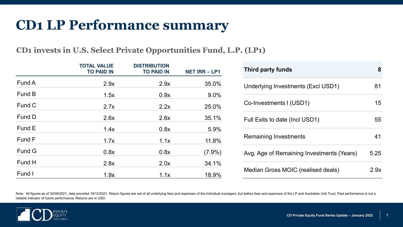### **CD1 LP Performance summary**

#### **CD1 invests in U.S. Select Private Opportunities Fund, L.P. (LP1)**

|               | <b>TOTAL VALUE</b><br><b>TO PAID IN</b> | <b>DISTRIBUTION</b><br><b>TO PAID IN</b> | <b>NET IRR-LP1</b> |
|---------------|-----------------------------------------|------------------------------------------|--------------------|
| Fund A        | 2.9x                                    | 2.9x                                     | 35.0%              |
| Fund B        | 1.5x                                    | 0.9x                                     | 9.0%               |
| Fund C        | 2.7x                                    | 2.2x                                     | 25.0%              |
| Fund D        | 2.6x                                    | 2.6x                                     | 35.1%              |
| Fund E        | 1.4x                                    | 0.8x                                     | 5.9%               |
| Fund F        | 1.7x                                    | 1.1x                                     | 11.8%              |
| <b>Fund G</b> | 0.8x                                    | 0.8x                                     | $(7.9\%)$          |
| Fund H        | 2.8x                                    | 2.0x                                     | 34.1%              |
| Fund I        | 1.9x                                    | 1.1x                                     | 18.9%              |

| Third party funds                         | 8    |
|-------------------------------------------|------|
| Underlying Investments (Excl USD1)        | 81   |
| Co-Investments I (USD1)                   | 15   |
| Full Exits to date (Incl USD1)            | 55   |
| Remaining Investments                     | 41   |
| Avg. Age of Remaining Investments (Years) | 5.25 |
| Median Gross MOIC (realised deals)        | S dx |

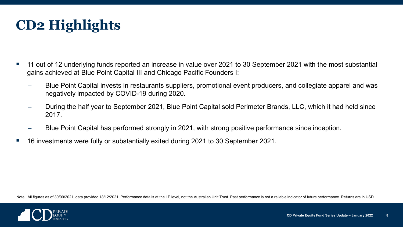

- 11 out of 12 underlying funds reported an increase in value over 2021 to 30 September 2021 with the most substantial gains achieved at Blue Point Capital III and Chicago Pacific Founders I:
	- ‒ Blue Point Capital invests in restaurants suppliers, promotional event producers, and collegiate apparel and was negatively impacted by COVID-19 during 2020.
	- ‒ During the half year to September 2021, Blue Point Capital sold Perimeter Brands, LLC, which it had held since 2017.
	- ‒ Blue Point Capital has performed strongly in 2021, with strong positive performance since inception.
- 16 investments were fully or substantially exited during 2021 to 30 September 2021.

Note: All figures as of 30/09/2021, data provided 18/12/2021. Performance data is at the LP level, not the Australian Unit Trust. Past performance is not a reliable indicator of future performance. Returns are in USD.

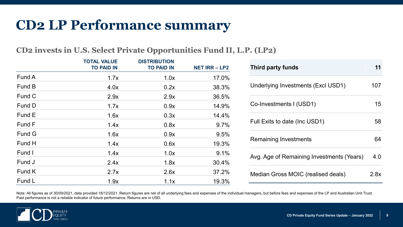### **CD2 LP Performance summary**

### **CD2 invests in U.S. Select Private Opportunities Fund II, L.P. (LP2)**

|        | <b>TOTAL VALUE</b><br><b>TO PAID IN</b> | <b>DISTRIBUTION</b><br><b>TO PAID IN</b> | <b>NET IRR - LP2</b> |
|--------|-----------------------------------------|------------------------------------------|----------------------|
| Fund A | 1.7x                                    | 1.0x                                     | 17.0%                |
| Fund B | 4.0x                                    | 0.2x                                     | 38.3%                |
| Fund C | 2.9x                                    | 2.9x                                     | 36.5%                |
| Fund D | 1.7x                                    | 0.9x                                     | 14.9%                |
| Fund E | 1.6x                                    | 0.3x                                     | 14.4%                |
| Fund F | 1.4x                                    | 0.8x                                     | 9.7%                 |
| Fund G | 1.6x                                    | 0.9x                                     | 9.5%                 |
| Fund H | 1.4x                                    | 0.6x                                     | 19.3%                |
| Fund I | 1.4x                                    | 1.0x                                     | 9.1%                 |
| Fund J | 2.4x                                    | 1.8x                                     | 30.4%                |
| Fund K | 2.7x                                    | 2.6x                                     | 37.2%                |
| Fund L | 1.9x                                    | 1.1x                                     | 19.3%                |

| Third party funds                         | 11   |
|-------------------------------------------|------|
| Underlying Investments (Excl USD1)        | 107  |
| Co-Investments I (USD1)                   | 15   |
| Full Exits to date (Inc USD1)             | 58   |
| <b>Remaining Investments</b>              | 64   |
| Avg. Age of Remaining Investments (Years) | 4.0  |
| Median Gross MOIC (realised deals)        | 2.8x |

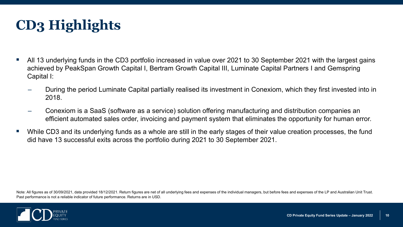# **CD3 Highlights**

- All 13 underlying funds in the CD3 portfolio increased in value over 2021 to 30 September 2021 with the largest gains achieved by PeakSpan Growth Capital I, Bertram Growth Capital III, Luminate Capital Partners I and Gemspring Capital I:
	- ‒ During the period Luminate Capital partially realised its investment in Conexiom, which they first invested into in 2018.
	- ‒ Conexiom is a SaaS (software as a service) solution offering manufacturing and distribution companies an efficient automated sales order, invoicing and payment system that eliminates the opportunity for human error.
- While CD3 and its underlying funds as a whole are still in the early stages of their value creation processes, the fund did have 13 successful exits across the portfolio during 2021 to 30 September 2021.

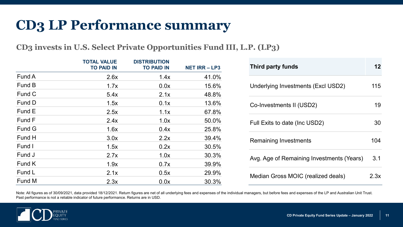### **CD3 LP Performance summary**

**CD3 invests in U.S. Select Private Opportunities Fund III, L.P. (LP3)**

|        | <b>TOTAL VALUE</b><br><b>TO PAID IN</b> | <b>DISTRIBUTION</b><br><b>TO PAID IN</b> | <b>NET IRR-LP3</b> |
|--------|-----------------------------------------|------------------------------------------|--------------------|
| Fund A | 2.6x                                    | 1.4x                                     | 41.0%              |
| Fund B | 1.7x                                    | 0.0x                                     | 15.6%              |
| Fund C | 5.4x                                    | 2.1x                                     | 48.8%              |
| Fund D | 1.5x                                    | 0.1x                                     | 13.6%              |
| Fund E | 2.5x                                    | 1.1x                                     | 67.8%              |
| Fund F | 2.4x                                    | 1.0x                                     | 50.0%              |
| Fund G | 1.6x                                    | 0.4x                                     | 25.8%              |
| Fund H | 3.0x                                    | 2.2x                                     | 39.4%              |
| Fund I | 1.5x                                    | 0.2x                                     | 30.5%              |
| Fund J | 2.7x                                    | 1.0x                                     | 30.3%              |
| Fund K | 1.9x                                    | 0.7x                                     | 39.9%              |
| Fund L | 2.1x                                    | 0.5x                                     | 29.9%              |
| Fund M | 2.3x                                    | 0.0x                                     | 30.3%              |

| Third party funds                         | 12   |
|-------------------------------------------|------|
| Underlying Investments (Excl USD2)        | 115  |
| Co-Investments II (USD2)                  | 19   |
| Full Exits to date (Inc USD2)             | 30   |
| Remaining Investments                     | 104  |
| Avg. Age of Remaining Investments (Years) | 3.1  |
| Median Gross MOIC (realized deals)        | 2 3x |

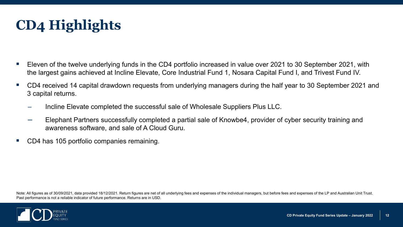

- Eleven of the twelve underlying funds in the CD4 portfolio increased in value over 2021 to 30 September 2021, with the largest gains achieved at Incline Elevate, Core Industrial Fund 1, Nosara Capital Fund I, and Trivest Fund IV.
- CD4 received 14 capital drawdown requests from underlying managers during the half year to 30 September 2021 and 3 capital returns.
	- ‒ Incline Elevate completed the successful sale of Wholesale Suppliers Plus LLC.
	- ‒ Elephant Partners successfully completed a partial sale of Knowbe4, provider of cyber security training and awareness software, and sale of A Cloud Guru.
- CD4 has 105 portfolio companies remaining.

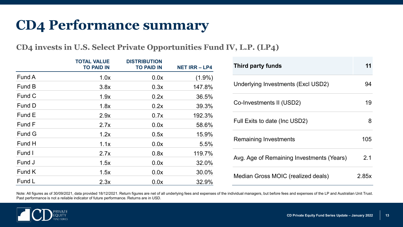## **CD4 Performance summary**

**CD4 invests in U.S. Select Private Opportunities Fund IV, L.P. (LP4)**

|        | <b>TOTAL VALUE</b><br><b>TO PAID IN</b> | <b>DISTRIBUTION</b><br><b>TO PAID IN</b> | <b>NET IRR-LP4</b> |
|--------|-----------------------------------------|------------------------------------------|--------------------|
| Fund A | 1.0x                                    | 0.0x                                     | $(1.9\%)$          |
| Fund B | 3.8x                                    | 0.3x                                     | 147.8%             |
| Fund C | 1.9x                                    | 0.2x                                     | 36.5%              |
| Fund D | 1.8x                                    | 0.2x                                     | 39.3%              |
| Fund E | 2.9x                                    | 0.7x                                     | 192.3%             |
| Fund F | 2.7x                                    | 0.0x                                     | 58.6%              |
| Fund G | 1.2x                                    | 0.5x                                     | 15.9%              |
| Fund H | 1.1x                                    | 0.0x                                     | 5.5%               |
| Fund I | 2.7x                                    | 0.8x                                     | 119.7%             |
| Fund J | 1.5x                                    | 0.0x                                     | 32.0%              |
| Fund K | 1.5x                                    | 0.0x                                     | 30.0%              |
| Fund L | 2.3x                                    | 0.0x                                     | 32.9%              |

| Third party funds                         |       |
|-------------------------------------------|-------|
| Underlying Investments (Excl USD2)        | 94    |
| Co-Investments II (USD2)                  | 19    |
| Full Exits to date (Inc USD2)             | 8     |
| Remaining Investments                     | 105   |
| Avg. Age of Remaining Investments (Years) | 2.1   |
| Median Gross MOIC (realized deals)        | 2.85x |

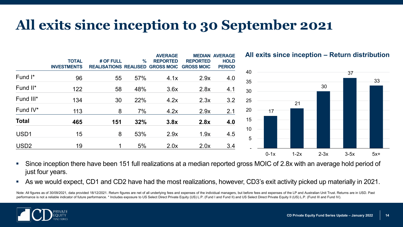### **All exits since inception to 30 September 2021**

| <b>TOTAL</b><br><b>INVESTMENTS</b> |             |     | <b>AVERAGE</b><br><b>REPORTED</b> | <b>MEDIAN</b><br><b>REPORTED</b><br><b>GROSS MOIC</b> | <b>AVERAGE</b><br><b>HOLD</b><br><b>PERIOD</b> |
|------------------------------------|-------------|-----|-----------------------------------|-------------------------------------------------------|------------------------------------------------|
| 96                                 | 55          | 57% | 4.1x                              | 2.9x                                                  | 4.0                                            |
| 122                                | 58          | 48% | 3.6x                              | 2.8x                                                  | 4.1                                            |
| 134                                | 30          | 22% | 4.2x                              | 2.3x                                                  | 3.2                                            |
| 113                                | 8           | 7%  | 4.2x                              | 2.9x                                                  | 2.1                                            |
| 465                                | 151         | 32% | 3.8x                              | 2.8x                                                  | 4.0                                            |
| 15                                 | 8           | 53% | 2.9x                              | 1.9x                                                  | 4.5                                            |
| 19                                 | $\mathbf 1$ | 5%  | 2.0x                              | 2.0x                                                  | 3.4                                            |
|                                    |             |     | # OF FULL                         | $\%$<br><b>REALISATIONS REALISED GROSS MOIC</b>       |                                                |

**All exits since inception – Return distribution**



- Since inception there have been 151 full realizations at a median reported gross MOIC of 2.8x with an average hold period of just four years.
- As we would expect, CD1 and CD2 have had the most realizations, however, CD3's exit activity picked up materially in 2021.

Note: All figures as of 30/09/2021, data provided 18/12/2021. Return figures are net of all underlying fees and expenses of the individual managers, but before fees and expenses of the LP and Australian Unit Trust. Returns performance is not a reliable indicator of future performance. \* Includes exposure to US Select Direct Private Equity (US) L.P. (Fund I and Fund II) and US Select Direct Private Equity II (US) L.P. (Fund III and Fund IV).

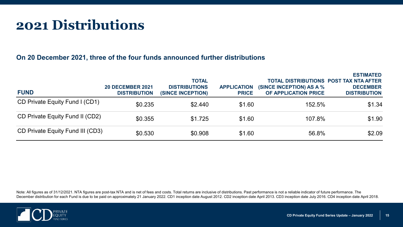### **2021 Distributions**

#### **On 20 December 2021, three of the four funds announced further distributions**

| <b>FUND</b>                      | <b>20 DECEMBER 2021</b><br><b>DISTRIBUTION</b> | <b>TOTAL</b><br><b>DISTRIBUTIONS</b><br><b>(SINCE INCEPTION)</b> | <b>APPLICATION</b><br><b>PRICE</b> | <b>TOTAL DISTRIBUTIONS POST TAX NTA AFTER</b><br>(SINCE INCEPTION) AS A %<br>OF APPLICATION PRICE | <b>ESTIMATED</b><br><b>DECEMBER</b><br><b>DISTRIBUTION</b> |
|----------------------------------|------------------------------------------------|------------------------------------------------------------------|------------------------------------|---------------------------------------------------------------------------------------------------|------------------------------------------------------------|
| CD Private Equity Fund I (CD1)   | \$0.235                                        | \$2.440                                                          | \$1.60                             | 152.5%                                                                                            | \$1.34                                                     |
| CD Private Equity Fund II (CD2)  | \$0.355                                        | \$1.725                                                          | \$1.60                             | 107.8%                                                                                            | \$1.90                                                     |
| CD Private Equity Fund III (CD3) | \$0.530                                        | \$0.908                                                          | \$1.60                             | 56.8%                                                                                             | \$2.09                                                     |

Note: All figures as of 31/12/2021. NTA figures are post-tax NTA and is net of fees and costs. Total returns are inclusive of distributions. Past performance is not a reliable indicator of future performance. The December distribution for each Fund is due to be paid on approximately 21 January 2022. CD1 inception date August 2012. CD2 inception date April 2013. CD3 inception date July 2016. CD4 inception date April 2018.